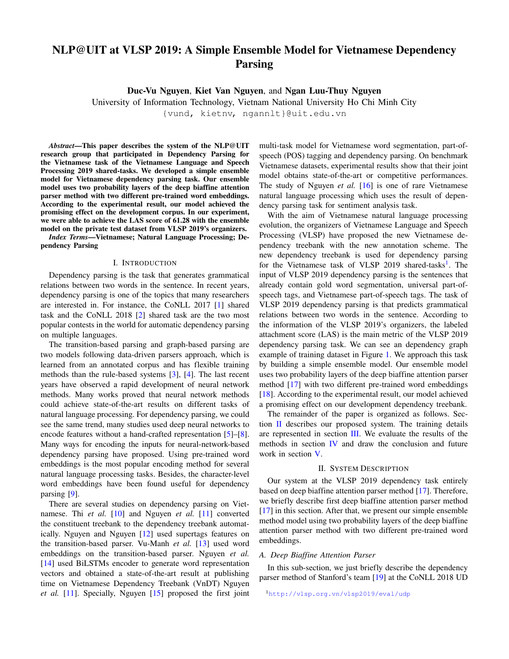# **NLP@UIT at VLSP 2019: A Simple Ensemble Model for Vietnamese Dependency Parsing**

**Duc-Vu Nguyen**, **Kiet Van Nguyen**, and **Ngan Luu-Thuy Nguyen**

University of Information Technology, Vietnam National University Ho Chi Minh City

{vund, kietnv, ngannlt}@uit.edu.vn

*Abstract***—This paper describes the system of the NLP@UIT research group that participated in Dependency Parsing for the Vietnamese task of the Vietnamese Language and Speech Processing 2019 shared-tasks. We developed a simple ensemble model for Vietnamese dependency parsing task. Our ensemble model uses two probability layers of the deep biaffine attention parser method with two different pre-trained word embeddings. According to the experimental result, our model achieved the promising effect on the development corpus. In our experiment, we were able to achieve the LAS score of 61.28 with the ensemble model on the private test dataset from VLSP 2019's organizers.**

*Index Terms***—Vietnamese; Natural Language Processing; Dependency Parsing**

### I. INTRODUCTION

Dependency parsing is the task that generates grammatical relations between two words in the sentence. In recent years, dependency parsing is one of the topics that many researchers are interested in. For instance, the CoNLL 2017 [\[1\]](#page-2-0) shared task and the CoNLL 2018 [\[2\]](#page-2-1) shared task are the two most popular contests in the world for automatic dependency parsing on multiple languages.

The transition-based parsing and graph-based parsing are two models following data-driven parsers approach, which is learned from an annotated corpus and has flexible training methods than the rule-based systems [\[3\]](#page-2-2), [\[4\]](#page-2-3). The last recent years have observed a rapid development of neural network methods. Many works proved that neural network methods could achieve state-of-the-art results on different tasks of natural language processing. For dependency parsing, we could see the same trend, many studies used deep neural networks to encode features without a hand-crafted representation [\[5\]](#page-3-0)–[\[8\]](#page-3-1). Many ways for encoding the inputs for neural-network-based dependency parsing have proposed. Using pre-trained word embeddings is the most popular encoding method for several natural language processing tasks. Besides, the character-level word embeddings have been found useful for dependency parsing [\[9\]](#page-3-2).

There are several studies on dependency parsing on Vietnamese. Thi *et al.* [\[10\]](#page-3-3) and Nguyen *et al.* [\[11\]](#page-3-4) converted the constituent treebank to the dependency treebank automatically. Nguyen and Nguyen [\[12\]](#page-3-5) used supertags features on the transition-based parser. Vu-Manh *et al.* [\[13\]](#page-3-6) used word embeddings on the transition-based parser. Nguyen *et al.* [\[14\]](#page-3-7) used BiLSTMs encoder to generate word representation vectors and obtained a state-of-the-art result at publishing time on Vietnamese Dependency Treebank (VnDT) Nguyen *et al.* [\[11\]](#page-3-4). Specially, Nguyen [\[15\]](#page-3-8) proposed the first joint multi-task model for Vietnamese word segmentation, part-ofspeech (POS) tagging and dependency parsing. On benchmark Vietnamese datasets, experimental results show that their joint model obtains state-of-the-art or competitive performances. The study of Nguyen *et al.* [\[16\]](#page-3-9) is one of rare Vietnamese natural language processing which uses the result of dependency parsing task for sentiment analysis task.

With the aim of Vietnamese natural language processing evolution, the organizers of Vietnamese Language and Speech Processing (VLSP) have proposed the new Vietnamese dependency treebank with the new annotation scheme. The new dependency treebank is used for dependency parsing for the Vietnamese task of VLSP 20[1](#page-0-0)9 shared-tasks<sup>1</sup>. The input of VLSP 2019 dependency parsing is the sentences that already contain gold word segmentation, universal part-ofspeech tags, and Vietnamese part-of-speech tags. The task of VLSP 2019 dependency parsing is that predicts grammatical relations between two words in the sentence. According to the information of the VLSP 2019's organizers, the labeled attachment score (LAS) is the main metric of the VLSP 2019 dependency parsing task. We can see an dependency graph example of training dataset in Figure [1.](#page-1-0) We approach this task by building a simple ensemble model. Our ensemble model uses two probability layers of the deep biaffine attention parser method [\[17\]](#page-3-10) with two different pre-trained word embeddings [\[18\]](#page-3-11). According to the experimental result, our model achieved a promising effect on our development dependency treebank.

The remainder of the paper is organized as follows. Section [II](#page-0-1) describes our proposed system. The training details are represented in section [III.](#page-1-1) We evaluate the results of the methods in section  *and draw the conclusion and future* work in section [V.](#page-2-4)

## II. SYSTEM DESCRIPTION

<span id="page-0-1"></span>Our system at the VLSP 2019 dependency task entirely based on deep biaffine attention parser method [\[17\]](#page-3-10). Therefore, we briefly describe first deep biaffine attention parser method [\[17\]](#page-3-10) in this section. After that, we present our simple ensemble method model using two probability layers of the deep biaffine attention parser method with two different pre-trained word embeddings.

## *A. Deep Biaffine Attention Parser*

<span id="page-0-0"></span>In this sub-section, we just briefly describe the dependency parser method of Stanford's team [\[19\]](#page-3-12) at the CoNLL 2018 UD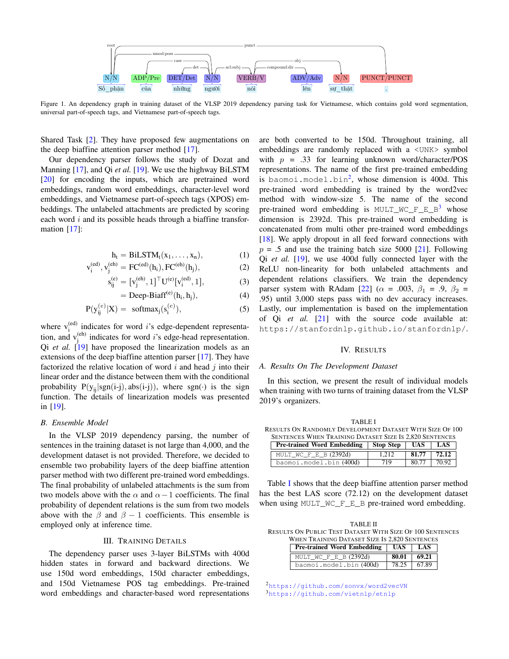<span id="page-1-0"></span>

Figure 1. An dependency graph in training dataset of the VLSP 2019 dependency parsing task for Vietnamese, which contains gold word segmentation, universal part-of-speech tags, and Vietnamese part-of-speech tags.

Shared Task [\[2\]](#page-2-1). They have proposed few augmentations on the deep biaffine attention parser method [\[17\]](#page-3-10).

Our dependency parser follows the study of Dozat and Manning [\[17\]](#page-3-10), and Qi *et al.* [\[19\]](#page-3-12). We use the highway BiLSTM [\[20\]](#page-3-13) for encoding the inputs, which are pretrained word embeddings, random word embeddings, character-level word embeddings, and Vietnamese part-of-speech tags (XPOS) embeddings. The unlabeled attachments are predicted by scoring each word  $i$  and its possible heads through a biaffine transformation [\[17\]](#page-3-10):

$$
h_t = BiLSTM_t(x_1, \ldots, x_n), \qquad (1)
$$

$$
{}_{i}^{(ed)}, v_{j}^{(eh)} = FC^{(ed)}(h_{i}), FC^{(eh)}(h_{j}),
$$
 (2)

$$
s_{ij}^{(e)} = [v_j^{(eh)}, 1]^\top U^{(e)}[v_i^{(ed)}, 1], \tag{3}
$$

$$
= Deep-Biaff(e)(hi, hj), \t(4)
$$

$$
P(y_{ij}^{(e)}|X) = \text{softmax}_j(s_i^{(e)}), \tag{5}
$$

where  $v_i^{(ed)}$  indicates for word *i*'s edge-dependent representation, and  $v_j^{(eh)}$  indicates for word *i*'s edge-head representation. Qi *et al.* [\[19\]](#page-3-12) have proposed the linearization models as an extensions of the deep biaffine attention parser [\[17\]](#page-3-10). They have factorized the relative location of word  $i$  and head  $j$  into their linear order and the distance between them with the conditional probability  $P(y_{ii}|sgn(i-j), abs(i-j))$ , where sgn(·) is the sign function. The details of linearization models was presented in [\[19\]](#page-3-12).

### <span id="page-1-7"></span>*B. Ensemble Model*

v

i

In the VLSP 2019 dependency parsing, the number of sentences in the training dataset is not large than 4,000, and the development dataset is not provided. Therefore, we decided to ensemble two probability layers of the deep biaffine attention parser method with two different pre-trained word embeddings. The final probability of unlabeled attachments is the sum from two models above with the  $\alpha$  and  $\alpha-1$  coefficients. The final probability of dependent relations is the sum from two models above with the  $\beta$  and  $\beta - 1$  coefficients. This ensemble is employed only at inference time.

# III. TRAINING DETAILS

<span id="page-1-1"></span>The dependency parser uses 3-layer BiLSTMs with 400d hidden states in forward and backward directions. We use 150d word embeddings, 150d character embeddings, and 150d Vietnamese POS tag embeddings. Pre-trained word embeddings and character-based word representations are both converted to be 150d. Throughout training, all embeddings are randomly replaced with a <UNK> symbol with  $p = .33$  for learning unknown word/character/POS representations. The name of the first pre-trained embedding is baomoi.model.bin<sup>[2](#page-1-3)</sup>, whose dimension is 400d. This pre-trained word embedding is trained by the word2vec method with window-size 5. The name of the second pre-trained word embedding is  $MULT_MC_F_E_B^3$  $MULT_MC_F_E_B^3$  whose dimension is 2392d. This pre-trained word embedding is concatenated from multi other pre-trained word embeddings [\[18\]](#page-3-11). We apply dropout in all feed forward connections with  $p = .5$  and use the training batch size 5000 [\[21\]](#page-3-14). Following Qi *et al.* [\[19\]](#page-3-12), we use 400d fully connected layer with the ReLU non-linearity for both unlabeled attachments and dependent relations classifiers. We train the dependency parser system with RAdam [\[22\]](#page-3-15) ( $\alpha = .003$ ,  $\beta_1 = .9$ ,  $\beta_2 =$ .95) until 3,000 steps pass with no dev accuracy increases. Lastly, our implementation is based on the implementation of Qi *et al.* [\[21\]](#page-3-14) with the source code available at: https://stanfordnlp.github.io/stanfordnlp/.

# IV. RESULTS

#### <span id="page-1-2"></span>*A. Results On The Development Dataset*

In this section, we present the result of individual models when training with two turns of training dataset from the VLSP 2019's organizers.

<span id="page-1-5"></span>TABLE I RESULTS ON RANDOMLY DEVELOPMENT DATASET WITH SIZE OF 100 SENTENCES WHEN TRAINING DATASET SIZE IS 2,820 SENTENCES **Pre-trained Word Embedding Stop Step UAS LAS**

| <b>Pre-trained Word Embedding</b>   Stop Step   UAS |       |       | LAS.     |
|-----------------------------------------------------|-------|-------|----------|
| MULT WC F E B $(2392d)$                             | 1.212 | 81.77 | 1, 72.12 |
| baomoi.model.bin(400d)                              | 719   | 80.77 | 70.92    |

Table [I](#page-1-5) shows that the deep biaffine attention parser method has the best LAS score (72.12) on the development dataset when using MULT\_WC\_F\_E\_B pre-trained word embedding.

<span id="page-1-6"></span>

| TABLE II                                                  |  |  |
|-----------------------------------------------------------|--|--|
| RESULTS ON PUBLIC TEST DATASET WITH SIZE OF 100 SENTENCES |  |  |
| WHEN TRAINING DATASET SIZE IS 2.820 SENTENCES             |  |  |
| <b>Pre-trained Word Embedding   IJAS   IAS  </b>          |  |  |

| <b>Pre-trained Word Embedding   UAS</b> |                   | LAS |
|-----------------------------------------|-------------------|-----|
| MULT WC F E B $(2392d)$                 | $80.01 \pm 69.21$ |     |
| baomoi.model.bin (400d)                 | 78.25   67.89     |     |

<span id="page-1-4"></span><span id="page-1-3"></span>2<br><https://github.com/sonvx/word2vecVN> <sup>3</sup><https://github.com/vietnlp/etnlp>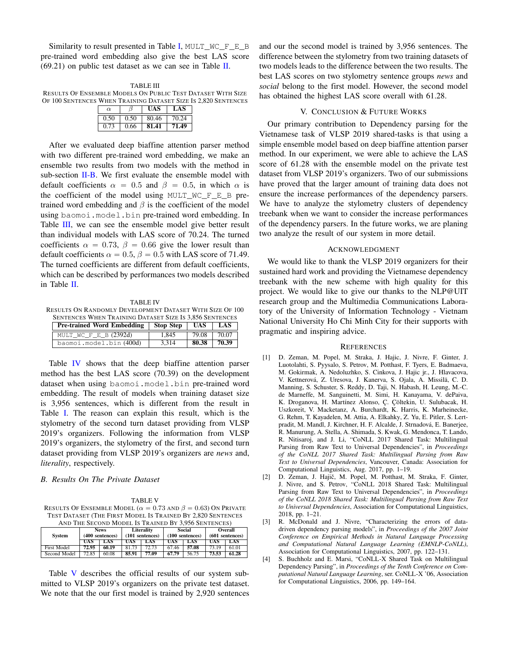Similarity to result presented in Table [I,](#page-1-5) MULT\_WC\_F\_E\_B pre-trained word embedding also give the best LAS score  $(69.21)$  on public test dataset as we can see in Table [II.](#page-1-6)

<span id="page-2-5"></span>TABLE III RESULTS OF ENSEMBLE MODELS ON PUBLIC TEST DATASET WITH SIZE OF 100 SENTENCES WHEN TRAINING DATASET SIZE IS 2,820 SENTENCES

| $\alpha$ |      |       | LAS   |
|----------|------|-------|-------|
| 0.50     | 0.50 | 80.46 | 70.24 |
| 0.73     | 0.66 | l 1   |       |

After we evaluated deep biaffine attention parser method with two different pre-trained word embedding, we make an ensemble two results from two models with the method in sub-section **. We first evaluate the ensemble model with** default coefficients  $\alpha = 0.5$  and  $\beta = 0.5$ , in which  $\alpha$  is the coefficient of the model using MULT WC  $F$  E B pretrained word embedding and  $\beta$  is the coefficient of the model using baomoi.model.bin pre-trained word embedding. In Table [III,](#page-2-5) we can see the ensemble model give better result than individual models with LAS score of 70.24. The turned coefficients  $\alpha = 0.73$ ,  $\beta = 0.66$  give the lower result than default coefficients  $\alpha = 0.5$ ,  $\beta = 0.5$  with LAS score of 71.49. The turned coefficients are different from default coefficients, which can be described by performances two models described in Table [II.](#page-1-6)

<span id="page-2-6"></span>TABLE IV RESULTS ON RANDOMLY DEVELOPMENT DATASET WITH SIZE OF 100 SENTENCES WHEN TRAINING DATASET SIZE IS 3,856 SENTENCES **Pre-trained Word Embedding Stop Step UAS LAS**

| MULT WC F E B $(2392d)$ | 1.845 | 79.08 L | 70.07 |
|-------------------------|-------|---------|-------|
| baomoi.model.bin(400d)  | 3.314 | 80.38   | 70.39 |

Table [IV](#page-2-6) shows that the deep biaffine attention parser method has the best LAS score (70.39) on the development dataset when using baomoi.model.bin pre-trained word embedding. The result of models when training dataset size is 3,956 sentences, which is different from the result in Table [I.](#page-1-5) The reason can explain this result, which is the stylometry of the second turn dataset providing from VLSP 2019's organizers. Following the information from VLSP 2019's organizers, the stylometry of the first, and second turn dataset providing from VLSP 2019's organizers are *news* and, *literality*, respectively.

# <span id="page-2-7"></span>*B. Results On The Private Dataset*

#### TABLE V

RESULTS OF ENSEMBLE MODEL ( $\alpha = 0.73$  and  $\beta = 0.63$ ) On Private TEST DATASET (THE FIRST MODEL IS TRAINED BY 2,820 SENTENCES AND THE SECOND MODEL IS TRAINED BY 3,956 SENTENCES)

| <b>System</b> |       | <b>News</b><br>(400 sentences) |       | Literality<br>$(101$ sentences) |            | Social<br>$(100$ sentences) |       | Overall<br>$(601$ sentences) |  |
|---------------|-------|--------------------------------|-------|---------------------------------|------------|-----------------------------|-------|------------------------------|--|
|               | UAS   | LAS                            | UAS   | LAS                             | <b>UAS</b> | LAS                         | UAS   | LAS                          |  |
| First Model   | 72.95 | 60.19                          | 81.73 | 72.73                           | 67.46      | 57.08                       | 73.19 | 61.01                        |  |
| Second Model  | 72.85 | 60.08                          | 85.91 | 77.09                           | 67.79      | 56.75                       | 73.53 | 61.28                        |  |

Table [V](#page-2-7) describes the official results of our system submitted to VLSP 2019's organizers on the private test dataset. We note that the our first model is trained by 2,920 sentences and our the second model is trained by 3,956 sentences. The difference between the stylometry from two training datasets of two models leads to the difference between the two results. The best LAS scores on two stylometry sentence groups *news* and *social* belong to the first model. However, the second model has obtained the highest LAS score overall with 61.28.

## V. CONCLUSION & FUTURE WORKS

<span id="page-2-4"></span>Our primary contribution to Dependency parsing for the Vietnamese task of VLSP 2019 shared-tasks is that using a simple ensemble model based on deep biaffine attention parser method. In our experiment, we were able to achieve the LAS score of 61.28 with the ensemble model on the private test dataset from VLSP 2019's organizers. Two of our submissions have proved that the larger amount of training data does not ensure the increase performances of the dependency parsers. We have to analyze the stylometry clusters of dependency treebank when we want to consider the increase performances of the dependency parsers. In the future works, we are planing two analyze the result of our system in more detail.

#### ACKNOWLEDGMENT

We would like to thank the VLSP 2019 organizers for their sustained hard work and providing the Vietnamese dependency treebank with the new scheme with high quality for this project. We would like to give our thanks to the NLP@UIT research group and the Multimedia Communications Laboratory of the University of Information Technology - Vietnam National University Ho Chi Minh City for their supports with pragmatic and inspiring advice.

#### **REFERENCES**

- <span id="page-2-0"></span>[1] D. Zeman, M. Popel, M. Straka, J. Hajic, J. Nivre, F. Ginter, J. Luotolahti, S. Pyysalo, S. Petrov, M. Potthast, F. Tyers, E. Badmaeva, M. Gokirmak, A. Nedoluzhko, S. Cinkova, J. Hajic jr., J. Hlavacova, V. Kettnerová, Z. Uresova, J. Kanerva, S. Ojala, A. Missila, C. D. ¨ Manning, S. Schuster, S. Reddy, D. Taji, N. Habash, H. Leung, M.-C. de Marneffe, M. Sanguinetti, M. Simi, H. Kanayama, V. dePaiva, K. Droganova, H. Martínez Alonso, Ç. Çöltekin, U. Sulubacak, H. Uszkoreit, V. Macketanz, A. Burchardt, K. Harris, K. Marheinecke, G. Rehm, T. Kayadelen, M. Attia, A. Elkahky, Z. Yu, E. Pitler, S. Lertpradit, M. Mandl, J. Kirchner, H. F. Alcalde, J. Strnadová, E. Banerjee, R. Manurung, A. Stella, A. Shimada, S. Kwak, G. Mendonca, T. Lando, R. Nitisaroj, and J. Li, "CoNLL 2017 Shared Task: Multilingual Parsing from Raw Text to Universal Dependencies", in *Proceedings of the CoNLL 2017 Shared Task: Multilingual Parsing from Raw Text to Universal Dependencies*, Vancouver, Canada: Association for Computational Linguistics, Aug. 2017, pp. 1–19.
- <span id="page-2-1"></span>[2] D. Zeman, J. Hajič, M. Popel, M. Potthast, M. Straka, F. Ginter, J. Nivre, and S. Petrov, "CoNLL 2018 Shared Task: Multilingual Parsing from Raw Text to Universal Dependencies", in *Proceedings of the CoNLL 2018 Shared Task: Multilingual Parsing from Raw Text to Universal Dependencies*, Association for Computational Linguistics, 2018, pp. 1–21.
- <span id="page-2-2"></span>[3] R. McDonald and J. Nivre, "Characterizing the errors of datadriven dependency parsing models", in *Proceedings of the 2007 Joint Conference on Empirical Methods in Natural Language Processing and Computational Natural Language Learning (EMNLP-CoNLL)*, Association for Computational Linguistics, 2007, pp. 122–131.
- <span id="page-2-3"></span>[4] S. Buchholz and E. Marsi, "CoNLL-X Shared Task on Multilingual Dependency Parsing", in *Proceedings of the Tenth Conference on Computational Natural Language Learning*, ser. CoNLL-X '06, Association for Computational Linguistics, 2006, pp. 149–164.